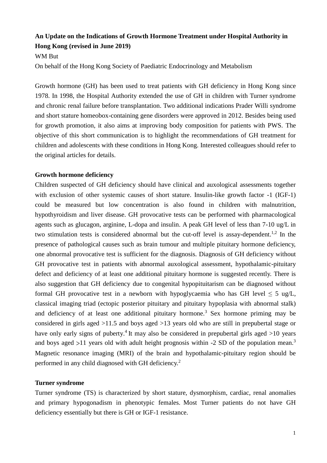## **An Update on the Indications of Growth Hormone Treatment under Hospital Authority in Hong Kong (revised in June 2019)**

#### WM But

On behalf of the Hong Kong Society of Paediatric Endocrinology and Metabolism

Growth hormone (GH) has been used to treat patients with GH deficiency in Hong Kong since 1978. In 1998, the Hospital Authority extended the use of GH in children with Turner syndrome and chronic renal failure before transplantation. Two additional indications Prader Willi syndrome and short stature homeobox-containing gene disorders were approved in 2012. Besides being used for growth promotion, it also aims at improving body composition for patients with PWS. The objective of this short communication is to highlight the recommendations of GH treatment for children and adolescents with these conditions in Hong Kong. Interested colleagues should refer to the original articles for details.

#### **Growth hormone deficiency**

Children suspected of GH deficiency should have clinical and auxological assessments together with exclusion of other systemic causes of short stature. Insulin-like growth factor -1 (IGF-1) could be measured but low concentration is also found in children with malnutrition, hypothyroidism and liver disease. GH provocative tests can be performed with pharmacological agents such as glucagon, arginine, L-dopa and insulin. A peak GH level of less than 7-10 ug/L in two stimulation tests is considered abnormal but the cut-off level is assay-dependent.<sup>1,2</sup> In the presence of pathological causes such as brain tumour and multiple pituitary hormone deficiency, one abnormal provocative test is sufficient for the diagnosis. Diagnosis of GH deficiency without GH provocative test in patients with abnormal auxological assessment, hypothalamic-pituitary defect and deficiency of at least one additional pituitary hormone is suggested recently. There is also suggestion that GH deficiency due to congenital hypopituitarism can be diagnosed without formal GH provocative test in a newborn with hypoglycaemia who has GH level  $\leq 5$  ug/L, classical imaging triad (ectopic posterior pituitary and pituitary hypoplasia with abnormal stalk) and deficiency of at least one additional pituitary hormone.<sup>3</sup> Sex hormone priming may be considered in girls aged >11.5 and boys aged >13 years old who are still in prepubertal stage or have only early signs of puberty.<sup>4</sup> It may also be considered in prepubertal girls aged  $>10$  years and boys aged  $>11$  years old with adult height prognosis within  $-2$  SD of the population mean.<sup>3</sup> Magnetic resonance imaging (MRI) of the brain and hypothalamic-pituitary region should be performed in any child diagnosed with GH deficiency.<sup>2</sup>

### **Turner syndrome**

Turner syndrome (TS) is characterized by short stature, dysmorphism, cardiac, renal anomalies and primary hypogonadism in phenotypic females. Most Turner patients do not have GH deficiency essentially but there is GH or IGF-1 resistance.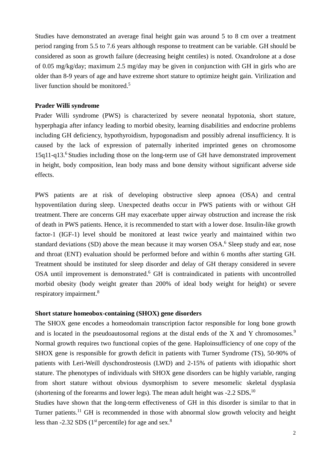Studies have demonstrated an average final height gain was around 5 to 8 cm over a treatment period ranging from 5.5 to 7.6 years although response to treatment can be variable. GH should be considered as soon as growth failure (decreasing height centiles) is noted. Oxandrolone at a dose of 0.05 mg/kg/day; maximum 2.5 mg/day may be given in conjunction with GH in girls who are older than 8-9 years of age and have extreme short stature to optimize height gain. Virilization and liver function should be monitored. 5

#### **Prader Willi syndrome**

Prader Willi syndrome (PWS) is characterized by severe neonatal hypotonia, short stature, hyperphagia after infancy leading to morbid obesity, learning disabilities and endocrine problems including GH deficiency, hypothyroidism, hypogonadism and possibly adrenal insufficiency. It is caused by the lack of expression of paternally inherited imprinted genes on chromosome 15q11-q13.<sup>6</sup> Studies including those on the long-term use of GH have demonstrated improvement in height, body composition, lean body mass and bone density without significant adverse side effects.

PWS patients are at risk of developing obstructive sleep apnoea (OSA) and central hypoventilation during sleep. Unexpected deaths occur in PWS patients with or without GH treatment. There are concerns GH may exacerbate upper airway obstruction and increase the risk of death in PWS patients. Hence, it is recommended to start with a lower dose. Insulin-like growth factor-1 (IGF-1) level should be monitored at least twice yearly and maintained within two standard deviations (SD) above the mean because it may worsen OSA.<sup>6</sup> Sleep study and ear, nose and throat (ENT) evaluation should be performed before and within 6 months after starting GH. Treatment should be instituted for sleep disorder and delay of GH therapy considered in severe OSA until improvement is demonstrated.<sup>6</sup> GH is contraindicated in patients with uncontrolled morbid obesity (body weight greater than 200% of ideal body weight for height) or severe respiratory impairment.<sup>8</sup>

#### **Short stature homeobox-containing (SHOX) gene disorders**

The SHOX gene encodes a homeodomain transcription factor responsible for long bone growth and is located in the pseudoautosomal regions at the distal ends of the X and Y chromosomes.<sup>9</sup> Normal growth requires two functional copies of the gene. Haploinsufficiency of one copy of the SHOX gene is responsible for growth deficit in patients with Turner Syndrome (TS), 50-90% of patients with Leri-Weill dyschondrosteosis (LWD) and 2-15% of patients with idiopathic short stature. The phenotypes of individuals with SHOX gene disorders can be highly variable, ranging from short stature without obvious dysmorphism to severe mesomelic skeletal dysplasia (shortening of the forearms and lower legs). The mean adult height was -2.2 SDS**.** 10

Studies have shown that the long-term effectiveness of GH in this disorder is similar to that in Turner patients.<sup>11</sup> GH is recommended in those with abnormal slow growth velocity and height less than -2.32 SDS ( $1<sup>st</sup>$  percentile) for age and sex.<sup>8</sup>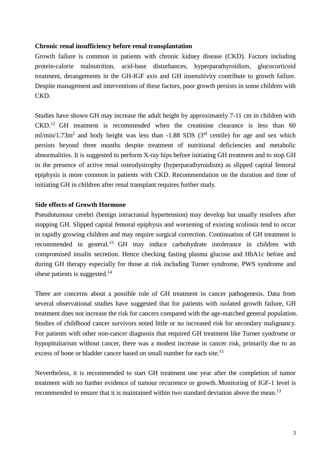#### **Chronic renal insufficiency before renal transplantation**

Growth failure is common in patients with chronic kidney disease (CKD). Factors including protein-calorie malnutrition, acid-base disturbances, hyperparathyroidism, glucocorticoid treatment, derangements in the GH-IGF axis and GH insensitivity contribute to growth failure. Despite management and interventions of these factors, poor growth persists in some children with CKD.

Studies have shown GH may increase the adult height by approximately 7-11 cm in children with CKD. <sup>12</sup> GH treatment is recommended when the creatinine clearance is less than 60 ml/min/1.73m<sup>2</sup> and body height was less than  $-1.88$  SDS (3<sup>rd</sup> centile) for age and sex which persists beyond three months despite treatment of nutritional deficiencies and metabolic abnormalities. It is suggested to perform X-ray hips before initiating GH treatment and to stop GH in the presence of active renal osteodystrophy (hyperparathyroidism) as slipped capital femoral epiphysis is more common in patients with CKD. Recommendation on the duration and time of initiating GH in children after renal transplant requires further study.

#### **Side effects of Growth Hormone**

Pseudotumour cerebri (benign intracranial hypertension) may develop but usually resolves after stopping GH. Slipped capital femoral epiphysis and worsening of existing scoliosis tend to occur in rapidly growing children and may require surgical correction. Continuation of GH treatment is recommended in general.<sup>13</sup> GH may induce carbohydrate intolerance in children with compromised insulin secretion. Hence checking fasting plasma glucose and HbA1c before and during GH therapy especially for those at risk including Turner syndrome, PWS syndrome and obese patients is suggested. $^{14}$ 

There are concerns about a possible role of GH treatment in cancer pathogenesis. Data from several observational studies have suggested that for patients with isolated growth failure, GH treatment does not increase the risk for cancers compared with the age-matched general population. Studies of childhood cancer survivors noted little or no increased risk for secondary malignancy. For patients with other non-cancer diagnosis that required GH treatment like Turner syndrome or hypopituitarism without cancer, there was a modest increase in cancer risk, primarily due to an excess of bone or bladder cancer based on small number for each site.<sup>15</sup>

Nevertheless, it is recommended to start GH treatment one year after the completion of tumor treatment with no further evidence of tumour recurrence or growth. Monitoring of IGF-1 level is recommended to ensure that it is maintained within two standard deviation above the mean.<sup>13</sup>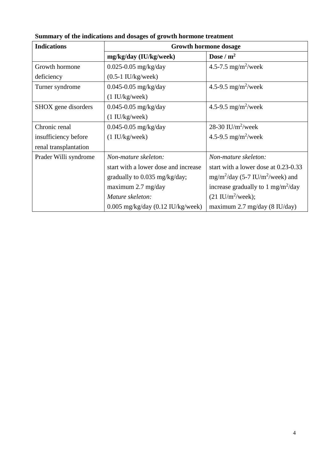| <b>Indications</b>    | <b>Growth hormone dosage</b>          |                                                 |
|-----------------------|---------------------------------------|-------------------------------------------------|
|                       | mg/kg/day (IU/kg/week)                | Dose / $m^2$                                    |
| Growth hormone        | $0.025 - 0.05$ mg/kg/day              | 4.5-7.5 mg/m <sup>2</sup> /week                 |
| deficiency            | $(0.5-1$ IU/kg/week)                  |                                                 |
| Turner syndrome       | $0.045 - 0.05$ mg/kg/day              | 4.5-9.5 mg/m <sup>2</sup> /week                 |
|                       | (1 IU/kg/week)                        |                                                 |
| SHOX gene disorders   | $0.045 - 0.05$ mg/kg/day              | 4.5-9.5 mg/m <sup>2</sup> /week                 |
|                       | $(1 \text{ IU/kg}/\text{week})$       |                                                 |
| Chronic renal         | $0.045 - 0.05$ mg/kg/day              | 28-30 IU/m <sup>2</sup> /week                   |
| insufficiency before  | $(1 \text{ IU/kg}/\text{week})$       | 4.5-9.5 mg/m <sup>2</sup> /week                 |
| renal transplantation |                                       |                                                 |
| Prader Willi syndrome | Non-mature skeleton:                  | Non-mature skeleton:                            |
|                       | start with a lower dose and increase  | start with a lower dose at 0.23-0.33            |
|                       | gradually to 0.035 mg/kg/day;         | $mg/m^2$ /day (5-7 IU/m <sup>2</sup> /week) and |
|                       | maximum $2.7 \text{ mg/day}$          | increase gradually to 1 mg/m <sup>2</sup> /day  |
|                       | Mature skeleton:                      | $(21 \text{ IU/m}^2/\text{week});$              |
|                       | $0.005$ mg/kg/day $(0.12$ IU/kg/week) | maximum 2.7 mg/day (8 IU/day)                   |

**Summary of the indications and dosages of growth hormone treatment**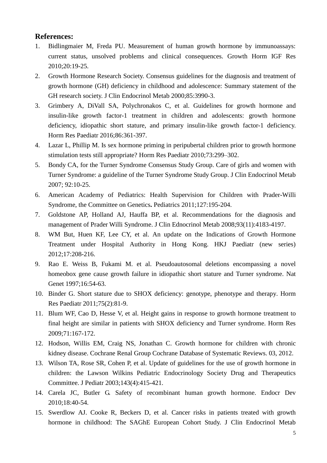## **References:**

- 1. Bidlingmaier M, Freda PU. Measurement of human growth hormone by immunoassays: current status, unsolved problems and clinical consequences. Growth Horm IGF Res 2010;20:19-25.
- 2. Growth Hormone Research Society. Consensus guidelines for the diagnosis and treatment of growth hormone (GH) deficiency in childhood and adolescence: Summary statement of the GH research society. J Clin Endocrinol Metab 2000;85:3990-3.
- 3. Grimbery A, DiVall SA, Polychronakos C, et al. Guidelines for growth hormone and insulin-like growth factor-1 treatment in children and adolescents: growth hormone deficiency, idiopathic short stature, and primary insulin-like growth factor-1 deficiency. Horm Res Paediatr 2016;86:361-397.
- 4. Lazar L, Phillip M. Is sex hormone priming in peripubertal children prior to growth hormone stimulation tests still appropriate? Horm Res Paediatr 2010;73:299–302.
- 5. Bondy CA, for the Turner Syndrome Consensus Study Group. Care of girls and women with Turner Syndrome: a guideline of the Turner Syndrome Study Group. J Clin Endocrinol Metab 2007; 92:10-25.
- 6. American Academy of Pediatrics: Health Supervision for Children with Prader-Willi Syndrome, the Committee on Genetics**.** Pediatrics 2011;127:195-204.
- 7. Goldstone AP, Holland AJ, Hauffa BP, et al. Recommendations for the diagnosis and management of Prader Willi Syndrome. J Clin Ednocrinol Metab 2008;93(11):4183-4197.
- 8. WM But, Huen KF, Lee CY, et al. An update on the Indications of Growth Hormone Treatment under Hospital Authority in Hong Kong. HKJ Paediatr (new series) 2012;17:208-216.
- 9. Rao E. Weiss B, Fukami M. et al. Pseudoautosomal deletions encompassing a novel homeobox gene cause growth failure in idiopathic short stature and Turner syndrome. Nat Genet 1997;16:54-63.
- 10. Binder G. Short stature due to SHOX deficiency: genotype, phenotype and therapy. Horm Res Paediatr 2011;75(2):81-9.
- 11. Blum WF, Cao D, Hesse V, et al. Height gains in response to growth hormone treatment to final height are similar in patients with SHOX deficiency and Turner syndrome. Horm Res 2009;71:167-172.
- 12. Hodson, Willis EM, Craig NS, Jonathan C. [Growth hormone for children with chronic](http://ovidsp.tx.ovid.com/sp-3.5.1a/ovidweb.cgi?&S=MJNOFPCBADDDHHNPNCALMHDCNPIMAA00&Complete+Reference=S.sh.15%7c3%7c1)  [kidney disease.](http://ovidsp.tx.ovid.com/sp-3.5.1a/ovidweb.cgi?&S=MJNOFPCBADDDHHNPNCALMHDCNPIMAA00&Complete+Reference=S.sh.15%7c3%7c1) Cochrane Renal Group Cochrane Database of Systematic Reviews. 03, 2012.
- 13. Wilson TA, Rose SR, Cohen P, et al. Update of guidelines for the use of growth hormone in children: the Lawson Wilkins Pediatric Endocrinology Society Drug and Therapeutics Committee. J Pediatr 2003;143(4):415-421.
- 14. Carela JC, Butler G. Safety of recombinant human growth hormone. Endocr Dev 2010;18:40-54.
- 15. Swerdlow AJ. Cooke R, Beckers D, et al. Cancer risks in patients treated with growth hormone in childhood: The SAGhE European Cohort Study. J Clin Endocrinol Metab